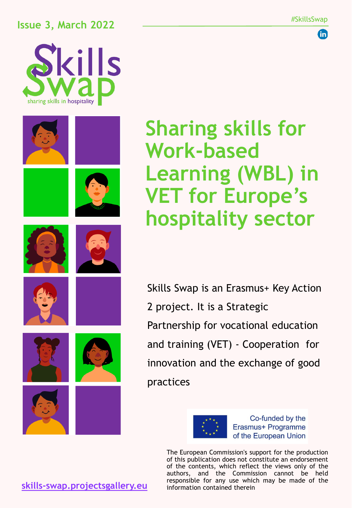### **Issue 3, March 2022**



















**Sharing skills for Work-based Learning (WBL) in VET for Europe's hospitality sector**

Skills Swap is an Erasmus+ Key Action 2 project. It is a Strategic Partnership for vocational education and training (VET) - Cooperation for innovation and the exchange of good practices



Co-funded by the Erasmus+ Programme of the European Union

The European Commission's support for the production of this publication does not constitute an endorsement of the contents, which reflect the views only of the authors, and the Commission cannot be held responsible for any use which may be made of the information contained therein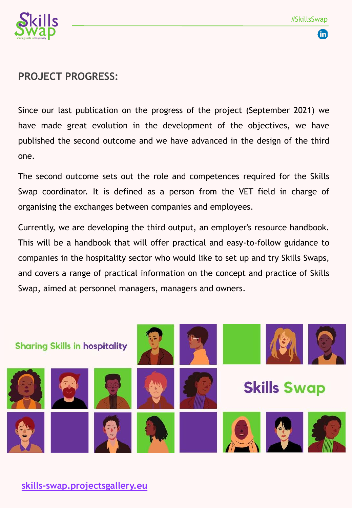



#### **PROJECT PROGRESS:**

Since our last publication on the progress of the project (September 2021) we have made great evolution in the development of the objectives, we have published the second outcome and we have advanced in the design of the third one.

The second outcome sets out the role and competences required for the Skills Swap coordinator. It is defined as a person from the VET field in charge of organising the exchanges between companies and employees.

Currently, we are developing the third output, an employer's resource handbook. This will be a handbook that will offer practical and easy-to-follow guidance to companies in the hospitality sector who would like to set up and try Skills Swaps, and covers a range of practical information on the concept and practice of Skills Swap, aimed at personnel managers, managers and owners.

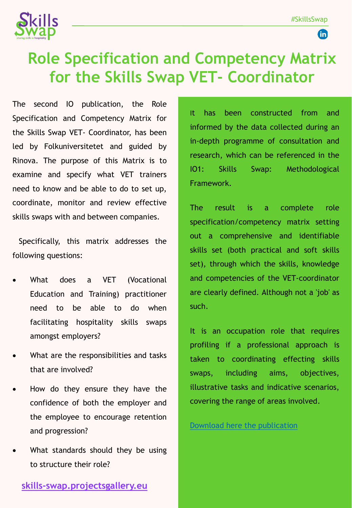GD



# **Role Specification and Competency Matrix for the Skills Swap VET- Coordinator**

The second IO publication, the Role Specification and Competency Matrix for the Skills Swap VET- Coordinator, has been led by Folkuniversitetet and guided by Rinova. The purpose of this Matrix is to examine and specify what VET trainers need to know and be able to do to set up, coordinate, monitor and review effective skills swaps with and between companies.

Specifically, this matrix addresses the following questions:

- What does a VET (Vocational Education and Training) practitioner need to be able to do when facilitating hospitality skills swaps amongst employers?
- What are the responsibilities and tasks that are involved?
- How do they ensure they have the confidence of both the employer and the employee to encourage retention and progression?
- What standards should they be using to structure their role?

It has been constructed from and informed by the data collected during an in-depth programme of consultation and research, which can be referenced in the IO1: Skills Swap: Methodological Framework.

The result is a complete role specification/competency matrix setting out a comprehensive and identifiable skills set (both practical and soft skills set), through which the skills, knowledge and competencies of the VET-coordinator are clearly defined. Although not a 'job' as such.

It is an occupation role that requires profiling if a professional approach is taken to coordinating effecting skills swaps, including aims, objectives, illustrative tasks and indicative scenarios, covering the range of areas involved.

Download here the [publication](https://skills-swap.projectsgallery.eu/wp-content/uploads/2021/11/Skills-Swap-IO2-Role-specification-and-competency-matrix_Final-3.pdf)

**[skills-swap.projectsgallery.eu](http://skills-swap.projectsgallery.eu/)**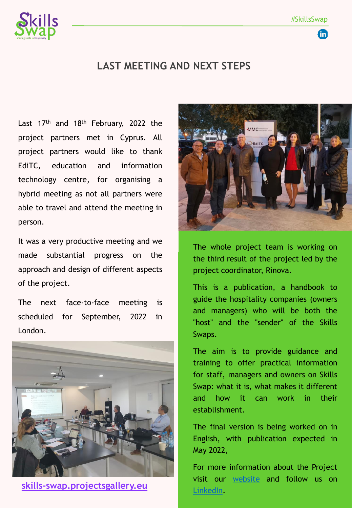**fin** 



#### **LAST MEETING AND NEXT STEPS**

Last 17<sup>th</sup> and 18<sup>th</sup> February, 2022 the project partners met in Cyprus. All project partners would like to thank EdiTC, education and information technology centre, for organising a hybrid meeting as not all partners were able to travel and attend the meeting in person.

It was a very productive meeting and we made substantial progress on the approach and design of different aspects of the project.

The next face-to-face meeting is scheduled for September, 2022 in London.



**[skills-swap.projectsgallery.eu](http://skills-swap.projectsgallery.eu/)**



The whole project team is working on the third result of the project led by the project coordinator, Rinova.

This is a publication, a handbook to guide the hospitality companies (owners and managers) who will be both the "host" and the "sender" of the Skills Swaps.

The aim is to provide guidance and training to offer practical information for staff, managers and owners on Skills Swap: what it is, what makes it different and how it can work in their establishment.

The final version is being worked on in English, with publication expected in May 2022,

For more information about the Project visit our [website](https://skills-swap.projectsgallery.eu/index.php/es/inicio/) and follow us on [LinkedIn.](https://www.linkedin.com/company/skills-swap/)